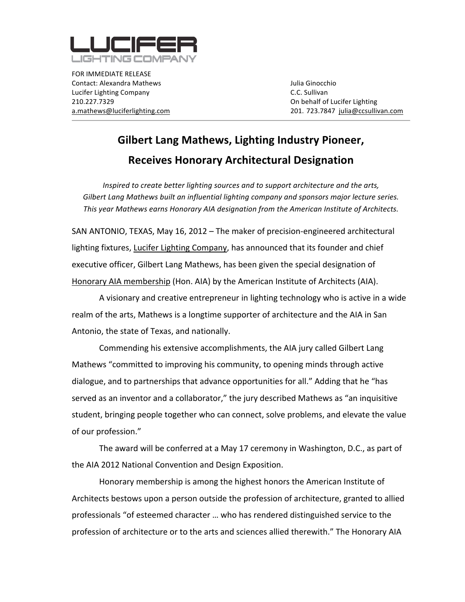

FOR
IMMEDIATE
RELEASE Contact:
Alexandra
Mathews Julia
Ginocchio Lucifer
Lighting
Company C.C.
Sullivan 210.227.7329 On
behalf
of
Lucifer
Lighting

a.mathews@luciferlighting.com 201. 723.7847

julia@ccsullivan.com

# **Gilbert
Lang
Mathews, Lighting
Industry
Pioneer, Receives
Honorary
Architectural
Designation**

*Inspired
to
create
better
lighting
sources
and
to
support
architecture
and
the
arts,* Gilbert Lang Mathews built an influential lighting company and sponsors major lecture series. This year Mathews earns Honorary AIA designation from the American Institute of Architects.

SAN
ANTONIO,
TEXAS,
May
16,
2012
–
The
maker
of
precision‐engineered
architectural lighting fixtures, Lucifer Lighting Company, has announced that its founder and chief executive officer, Gilbert Lang Mathews, has been given the special designation of Honorary AIA membership (Hon. AIA) by the American Institute of Architects (AIA).

A visionary and creative entrepreneur in lighting technology who is active in a wide realm of the arts, Mathews is a longtime supporter of architecture and the AIA in San Antonio,
the
state
of
Texas,
and
nationally.

Commending
his
extensive
accomplishments,
the
AIA
jury
called
Gilbert
Lang Mathews "committed to improving his community, to opening minds through active dialogue,
and
to
partnerships
that
advance
opportunities
for
all."
Adding
that
he "has served as an inventor and a collaborator," the jury described Mathews as "an inquisitive student,
bringing
people
together
who
can
connect,
solve
problems,
and
elevate
the
value of
our
profession."

The
award
will
be
conferred
at
a
May
17
ceremony
in
Washington,
D.C.,
as
part
of the
AIA
2012
National
Convention
and
Design
Exposition.

Honorary membership is among the highest honors the American Institute of Architects bestows upon a person outside the profession of architecture, granted to allied professionals "of esteemed character ... who has rendered distinguished service to the profession of architecture or to the arts and sciences allied therewith." The Honorary AIA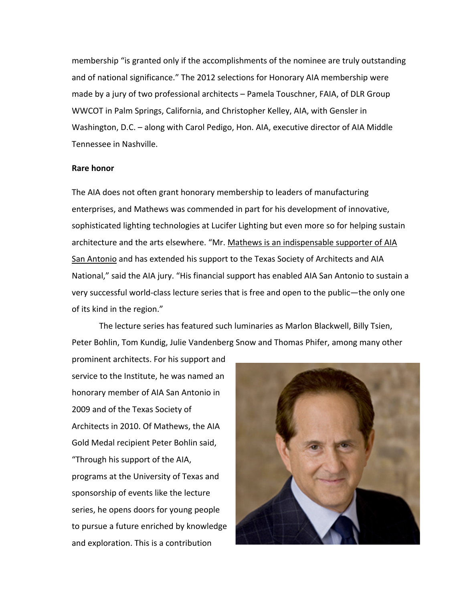membership "is granted only if the accomplishments of the nominee are truly outstanding and
of
national
significance."
The
2012
selections
for
Honorary
AIA
membership
were made by a jury of two professional architects – Pamela Touschner, FAIA, of DLR Group WWCOT in Palm Springs, California, and Christopher Kelley, AIA, with Gensler in Washington, D.C. - along with Carol Pedigo, Hon. AIA, executive director of AIA Middle Tennessee
in
Nashville.

## **Rare
honor**

The AIA does not often grant honorary membership to leaders of manufacturing enterprises,
and
Mathews
was
commended
in
part
for
his
development
of
innovative, sophisticated lighting technologies at Lucifer Lighting but even more so for helping sustain architecture and the arts elsewhere. "Mr. Mathews is an indispensable supporter of AIA San Antonio and has extended his support to the Texas Society of Architects and AIA National," said the AIA jury. "His financial support has enabled AIA San Antonio to sustain a very successful world-class lecture series that is free and open to the public—the only one of its kind in the region."

The lecture series has featured such luminaries as Marlon Blackwell, Billy Tsien, Peter Bohlin, Tom Kundig, Julie Vandenberg Snow and Thomas Phifer, among many other

prominent
architects.
For
his
support
and service to the Institute, he was named an honorary
member
of
AIA
San
Antonio
in 2009
and
of
the
Texas
Society
of Architects
in
2010.
Of
Mathews,
the
AIA Gold
Medal
recipient
Peter
Bohlin
said, "Through
his
support
of
the
AIA, programs
at
the
University
of
Texas
and sponsorship
of
events
like
the
lecture series,
he
opens
doors
for
young
people to
pursue
a
future
enriched
by
knowledge and
exploration.
This
is
a
contribution

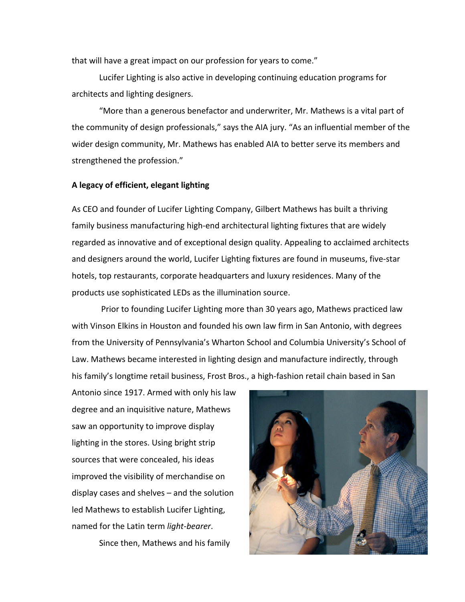that will have a great impact on our profession for years to come."

Lucifer Lighting is also active in developing continuing education programs for architects
and
lighting
designers.

"More than a generous benefactor and underwriter, Mr. Mathews is a vital part of the community of design professionals," says the AIA jury. "As an influential member of the wider design community, Mr. Mathews has enabled AIA to better serve its members and strengthened
the
profession."

## **A
legacy
of
efficient,
elegant
lighting**

As
CEO
and
founder
of
Lucifer
Lighting
Company,
Gilbert
Mathews
has
built
a
thriving family business manufacturing high-end architectural lighting fixtures that are widely regarded as innovative and of exceptional design quality. Appealing to acclaimed architects and designers around the world, Lucifer Lighting fixtures are found in museums, five-star hotels, top restaurants, corporate headquarters and luxury residences. Many of the products
use
sophisticated
LEDs
as
the
illumination
source.

Prior to founding Lucifer Lighting more than 30 years ago, Mathews practiced law with Vinson Elkins in Houston and founded his own law firm in San Antonio, with degrees from the University of Pennsylvania's Wharton School and Columbia University's School of Law. Mathews became interested in lighting design and manufacture indirectly, through his family's longtime retail business, Frost Bros., a high-fashion retail chain based in San

Antonio
since
1917.
Armed
with
only
his
law degree
and
an
inquisitive
nature,
Mathews saw
an
opportunity
to
improve
display lighting in the stores. Using bright strip sources
that
were
concealed,
his
ideas improved
the
visibility
of
merchandise
on display
cases
and
shelves
–
and
the
solution led
Mathews
to
establish
Lucifer
Lighting, named
for
the
Latin
term *light‐bearer*.

Since
then,
Mathews
and
his
family

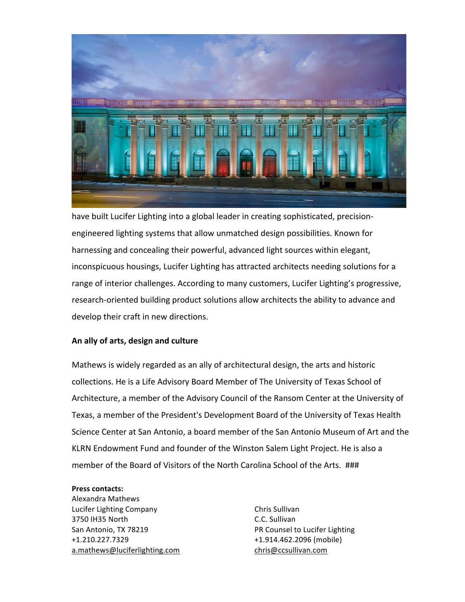

have built Lucifer Lighting into a global leader in creating sophisticated, precisionengineered
lighting
systems that
allow
unmatched
design
possibilities.
Known
for harnessing and concealing their powerful, advanced light sources within elegant, inconspicuous housings, Lucifer Lighting has attracted architects needing solutions for a range of interior challenges. According to many customers, Lucifer Lighting's progressive, research-oriented building product solutions allow architects the ability to advance and develop
their
craft
in
new
directions.

## **An
ally
of
arts,
design
and
culture**

Mathews is widely regarded as an ally of architectural design, the arts and historic collections. He is a Life Advisory Board Member of The University of Texas School of Architecture,
a
member
of
the
Advisory
Council
of
the
Ransom
Center
at
the
University
of Texas,
a
member
of
the
President's
Development
Board
of
the
University
of
Texas
Health Science Center at San Antonio, a board member of the San Antonio Museum of Art and the KLRN Endowment Fund and founder of the Winston Salem Light Project. He is also a member of the Board of Visitors of the North Carolina School of the Arts. ###

### **Press
contacts:**

Alexandra
Mathews Lucifer
Lighting
Company 3750
IH35
North San
Antonio,
TX
78219 +1.210.227.7329 a.mathews@luciferlighting.com

Chris
Sullivan C.C.
Sullivan PR
Counsel
to
Lucifer
Lighting +1.914.462.2096
(mobile) chris@ccsullivan.com